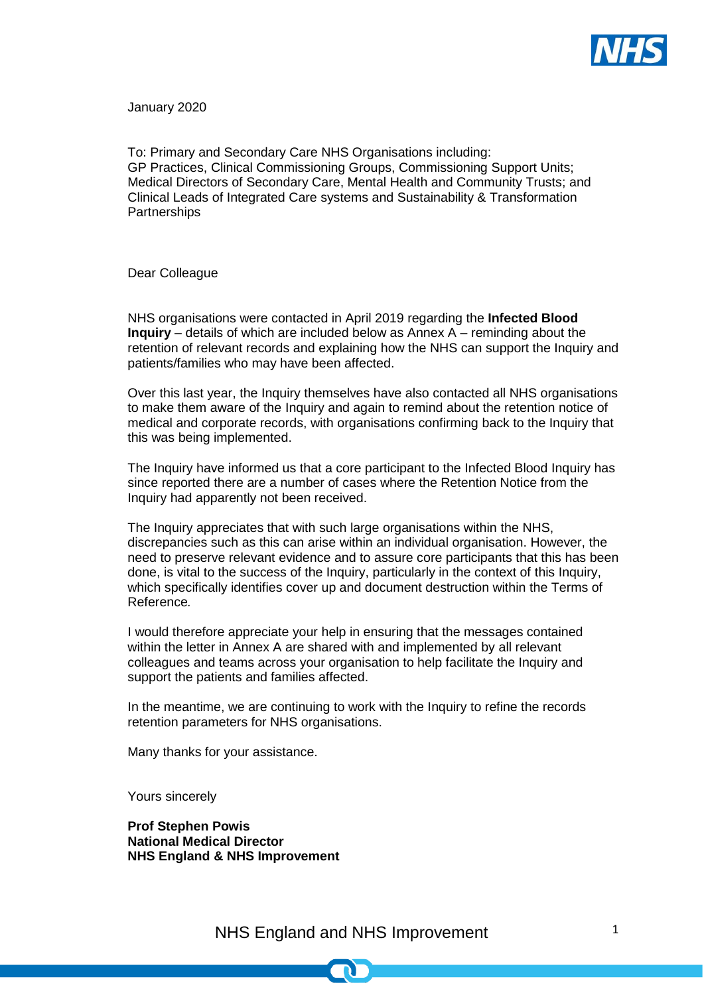

January 2020

To: Primary and Secondary Care NHS Organisations including: GP Practices, Clinical Commissioning Groups, Commissioning Support Units; Medical Directors of Secondary Care, Mental Health and Community Trusts; and Clinical Leads of Integrated Care systems and Sustainability & Transformation **Partnerships** 

Dear Colleague

NHS organisations were contacted in April 2019 regarding the **Infected Blood Inquiry** – details of which are included below as Annex A – reminding about the retention of relevant records and explaining how the NHS can support the Inquiry and patients/families who may have been affected.

Over this last year, the Inquiry themselves have also contacted all NHS organisations to make them aware of the Inquiry and again to remind about the retention notice of medical and corporate records, with organisations confirming back to the Inquiry that this was being implemented.

The Inquiry have informed us that a core participant to the Infected Blood Inquiry has since reported there are a number of cases where the Retention Notice from the Inquiry had apparently not been received.

The Inquiry appreciates that with such large organisations within the NHS, discrepancies such as this can arise within an individual organisation. However, the need to preserve relevant evidence and to assure core participants that this has been done, is vital to the success of the Inquiry, particularly in the context of this Inquiry, which specifically identifies cover up and document destruction within the Terms of Reference*.*

I would therefore appreciate your help in ensuring that the messages contained within the letter in Annex A are shared with and implemented by all relevant colleagues and teams across your organisation to help facilitate the Inquiry and support the patients and families affected.

In the meantime, we are continuing to work with the Inquiry to refine the records retention parameters for NHS organisations.

Many thanks for your assistance.

Yours sincerely

**Prof Stephen Powis National Medical Director NHS England & NHS Improvement**

NHS England and NHS Improvement 1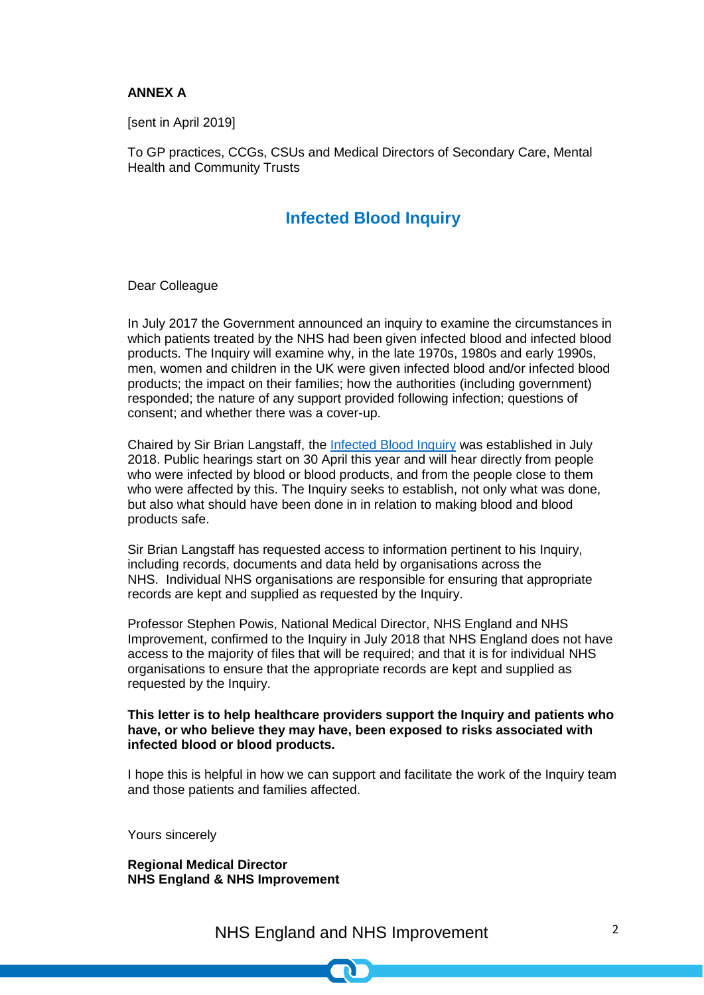#### **ANNEX A**

[sent in April 2019]

To GP practices, CCGs, CSUs and Medical Directors of Secondary Care, Mental Health and Community Trusts

## **Infected Blood Inquiry**

Dear Colleague

In July 2017 the Government announced an inquiry to examine the circumstances in which patients treated by the NHS had been given infected blood and infected blood products. The Inquiry will examine why, in the late 1970s, 1980s and early 1990s, men, women and children in the UK were given infected blood and/or infected blood products; the impact on their families; how the authorities (including government) responded; the nature of any support provided following infection; questions of consent; and whether there was a cover-up.

Chaired by Sir Brian Langstaff, the [Infected Blood Inquiry](https://www.infectedbloodinquiry.org.uk/) was established in July 2018. Public hearings start on 30 April this year and will hear directly from people who were infected by blood or blood products, and from the people close to them who were affected by this. The Inquiry seeks to establish, not only what was done, but also what should have been done in in relation to making blood and blood products safe.

Sir Brian Langstaff has requested access to information pertinent to his Inquiry, including records, documents and data held by organisations across the NHS. Individual NHS organisations are responsible for ensuring that appropriate records are kept and supplied as requested by the Inquiry.

Professor Stephen Powis, National Medical Director, NHS England and NHS Improvement, confirmed to the Inquiry in July 2018 that NHS England does not have access to the majority of files that will be required; and that it is for individual NHS organisations to ensure that the appropriate records are kept and supplied as requested by the Inquiry.

#### **This letter is to help healthcare providers support the Inquiry and patients who have, or who believe they may have, been exposed to risks associated with infected blood or blood products.**

I hope this is helpful in how we can support and facilitate the work of the Inquiry team and those patients and families affected.

Yours sincerely

**Regional Medical Director NHS England & NHS Improvement**

NHS England and NHS Improvement 2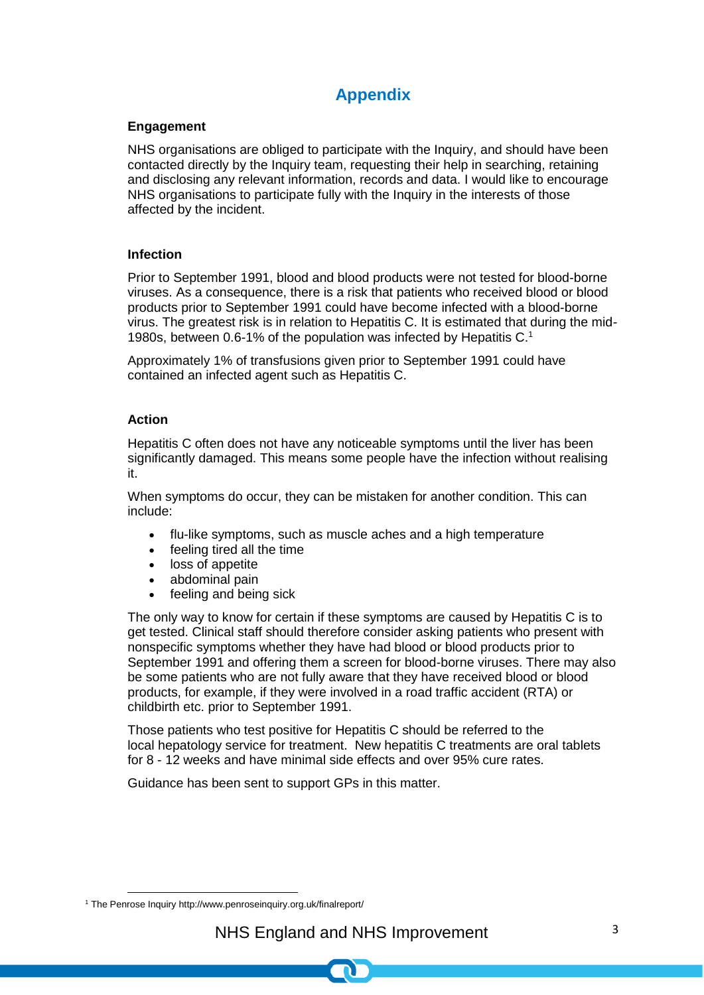# **Appendix**

## **Engagement**

NHS organisations are obliged to participate with the Inquiry, and should have been contacted directly by the Inquiry team, requesting their help in searching, retaining and disclosing any relevant information, records and data. I would like to encourage NHS organisations to participate fully with the Inquiry in the interests of those affected by the incident.

## **Infection**

Prior to September 1991, blood and blood products were not tested for blood-borne viruses. As a consequence, there is a risk that patients who received blood or blood products prior to September 1991 could have become infected with a blood-borne virus. The greatest risk is in relation to Hepatitis C. It is estimated that during the mid-1980s, between 0.6-1% of the population was infected by Hepatitis C.<sup>1</sup>

Approximately 1% of transfusions given prior to September 1991 could have contained an infected agent such as Hepatitis C.

## **Action**

Hepatitis C often does not have any noticeable symptoms until the liver has been significantly damaged. This means some people have the infection without realising it.

When symptoms do occur, they can be mistaken for another condition. This can include:

- [flu-like symptoms,](https://www.nhs.uk/conditions/flu/symptoms/) such as muscle aches and a high temperature
- feeling tired all the time
- loss of appetite
- abdominal pain
- feeling and being sick

The only way to know for certain if these symptoms are caused by Hepatitis C is to get tested. Clinical staff should therefore consider asking patients who present with nonspecific symptoms whether they have had blood or blood products prior to September 1991 and offering them a screen for blood-borne viruses. There may also be some patients who are not fully aware that they have received blood or blood products, for example, if they were involved in a road traffic accident (RTA) or childbirth etc. prior to September 1991.

Those patients who test positive for Hepatitis C should be referred to the local hepatology service for treatment. New hepatitis C treatments are oral tablets for 8 - 12 weeks and have minimal side effects and over 95% cure rates.

Guidance has been sent to support GPs in this matter.

**<sup>.</sup>** <sup>1</sup> The Penrose Inquiry http://www.penroseinquiry.org.uk/finalreport/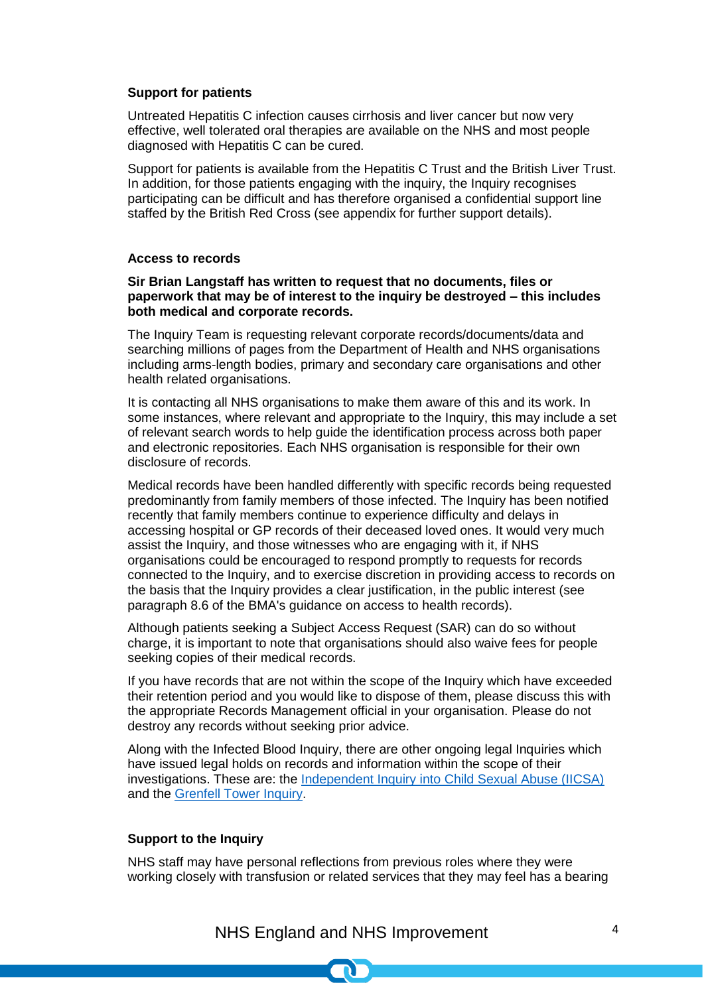#### **Support for patients**

Untreated Hepatitis C infection causes cirrhosis and liver cancer but now very effective, well tolerated oral therapies are available on the NHS and most people diagnosed with Hepatitis C can be cured.

Support for patients is available from the Hepatitis C Trust and the British Liver Trust. In addition, for those patients engaging with the inquiry, the Inquiry recognises participating can be difficult and has therefore organised a confidential support line staffed by the British Red Cross (see appendix for further support details).

#### **Access to records**

#### **Sir Brian Langstaff has written to request that no documents, files or paperwork that may be of interest to the inquiry be destroyed – this includes both medical and corporate records.**

The Inquiry Team is requesting relevant corporate records/documents/data and searching millions of pages from the Department of Health and NHS organisations including arms-length bodies, primary and secondary care organisations and other health related organisations.

It is contacting all NHS organisations to make them aware of this and its work. In some instances, where relevant and appropriate to the Inquiry, this may include a set of relevant search words to help guide the identification process across both paper and electronic repositories. Each NHS organisation is responsible for their own disclosure of records.

Medical records have been handled differently with specific records being requested predominantly from family members of those infected. The Inquiry has been notified recently that family members continue to experience difficulty and delays in accessing hospital or GP records of their deceased loved ones. It would very much assist the Inquiry, and those witnesses who are engaging with it, if NHS organisations could be encouraged to respond promptly to requests for records connected to the Inquiry, and to exercise discretion in providing access to records on the basis that the Inquiry provides a clear justification, in the public interest (see paragraph 8.6 of the BMA's guidance on access to health records).

Although patients seeking a Subject Access Request (SAR) can do so without charge, it is important to note that organisations should also waive fees for people seeking copies of their medical records.

If you have records that are not within the scope of the Inquiry which have exceeded their retention period and you would like to dispose of them, please discuss this with the appropriate Records Management official in your organisation. Please do not destroy any records without seeking prior advice.

Along with the Infected Blood Inquiry, there are other ongoing legal Inquiries which have issued legal holds on records and information within the scope of their investigations. These are: the [Independent Inquiry into Child Sexual Abuse \(IICSA\)](https://www.iicsa.org.uk/) and the [Grenfell Tower Inquiry.](https://www.grenfelltowerinquiry.org.uk/)

#### **Support to the Inquiry**

NHS staff may have personal reflections from previous roles where they were working closely with transfusion or related services that they may feel has a bearing

# NHS England and NHS Improvement 4